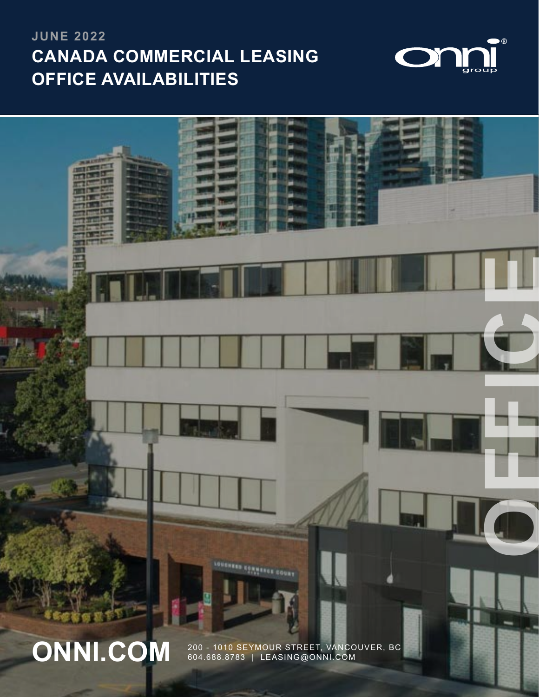# **CANADA COMMERCIAL LEASING OFFICE AVAILABILITIES JUNE 2022**





604.688.8783 | LEASING@ONNI.COM

1 | 200 - 1010 SEYMOUR STREET, VANCOUVER, BC | 604.688.8783 | LEASING@ONNI.COM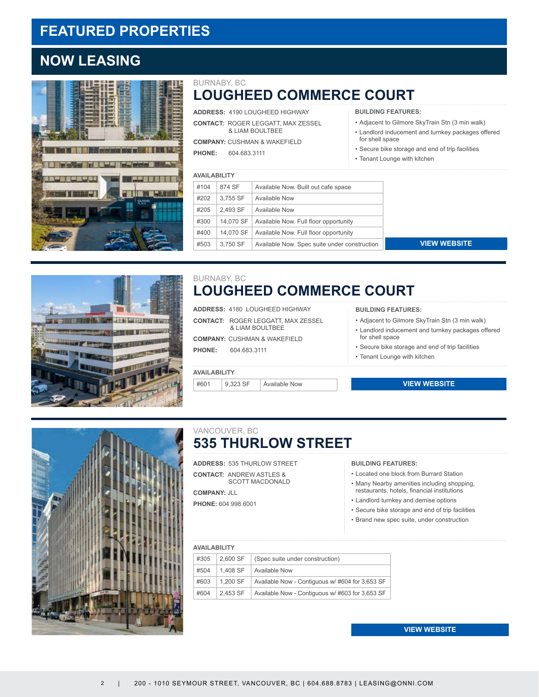## **FEATURED PROPERTIES**

## **NOW LEASING**



### **LOUGHEED COMMERCE COURT** BURNABY, BC

**ADDRESS:** 4190 LOUGHEED HIGHWAY **CONTACT:** ROGER LEGGATT, MAX ZESSEL & LIAM BOULTBEE

**COMPANY:** CUSHMAN & WAKEFIELD

**PHONE:** 604.683.3111

- **BUILDING FEATURES:**
- Adjacent to Gilmore SkyTrain Stn (3 min walk)
- Landlord inducement and turnkey packages offered for shell space
- Secure bike storage and end of trip facilities • Tenant Lounge with kitchen

|  |      | <b>AVAILABILITY</b> |                                              |  |
|--|------|---------------------|----------------------------------------------|--|
|  | #104 | 874 SF              | Available Now. Built out cafe space          |  |
|  | #202 | 3,755 SF            | Available Now                                |  |
|  | #205 | 2.493 SF            | Available Now                                |  |
|  | #300 | 14,070 SF           | Available Now. Full floor opportunity        |  |
|  | #400 | 14.070 SF           | Available Now. Full floor opportunity        |  |
|  | #503 | 3.750 SF            | Available Now. Spec suite under construction |  |
|  |      |                     |                                              |  |

**[VIEW WEBSITE](https://www.onni.com/property/commercial/4190-lougheed-highway-2/)**



### **LOUGHEED COMMERCE COURT** BURNABY, BC

**ADDRESS:** 4180 LOUGHEED HIGHWAY

**CONTACT:** ROGER LEGGATT, MAX ZESSEL & LIAM BOULTBEE

**COMPANY:** CUSHMAN & WAKEFIELD

**PHONE:** 604.683.3111

### **AVAILABILITY**

 $#601$  9,323 SF Available Now

- **BUILDING FEATURES:**
- Adjacent to Gilmore SkyTrain Stn (3 min walk)
- Landlord inducement and turnkey packages offered for shell space
- Secure bike storage and end of trip facilities
- Tenant Lounge with kitchen

### **[VIEW WEBSITE](https://www.onni.com/property/commercial/4180-lougheed-highway/)**



### **535 THURLOW STREET**  VANCOUVER, BC

**ADDRESS:** 535 THURLOW STREET **CONTACT:** ANDREW ASTLES & SCOTT MACDONALD

**COMPANY:** JLL **PHONE:** 604.998.6001

#### **BUILDING FEATURES:**

- Located one block from Burrard Station
- Many Nearby amenities including shopping, restaurants, hotels, financial institutions
- Landlord turnkey and demise options
- Secure bike storage and end of trip facilities
- Brand new spec suite, under construction

### **AVAILABILITY**

| #305 | 2.600 SF | (Spec suite under construction)                 |
|------|----------|-------------------------------------------------|
| #504 | 1.408 SF | <b>Available Now</b>                            |
| #603 | 1.200 SF | Available Now - Contiguous w/#604 for 3,653 SF  |
| #604 | 2.453 SF | Available Now - Contiguous w/ #603 for 3,653 SF |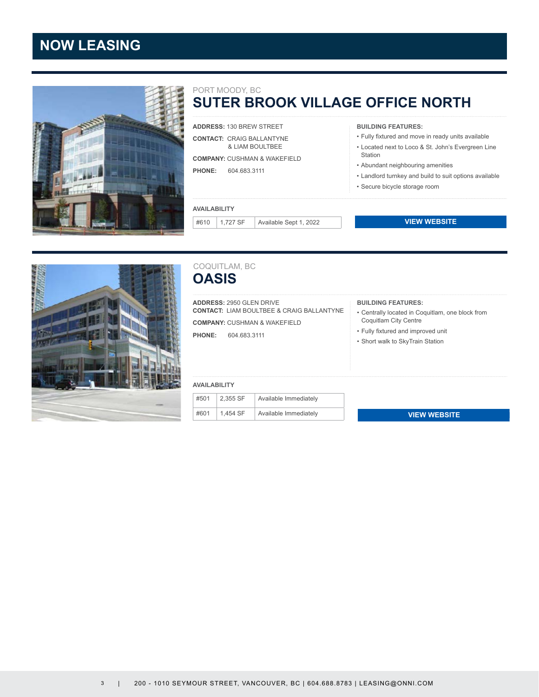## **NOW LEASING**



#### PORT MOODY, BC

## **SUTER BROOK VILLAGE OFFICE NORTH**

**ADDRESS:** 130 BREW STREET **CONTACT:** CRAIG BALLANTYNE & [L](https://www.onni.com/property/commercial/550-robson/)IAM BOULTBEE

**COMPANY:** CUSHMAN & WAKEFIELD **PHONE:** 604.683.3111

### **AVAILABILITY**

#610 1,727 SF Available Sept 1, 2022

**BUILDING FEATURES:**

- Fully fixtured and move in ready units available
- Located next to Loco & St. John's Evergreen Line Station
- Abundant neighbouring amenities
- Landlord turnkey and build to suit options available
- Secure bicycle storage room

### **[VIEW WEBSITE](https://www.onni.com/property/commercial/suter-brook-village-office-north/)**



### **OASIS** COQUITLAM, BC

**ADDRESS:** 2950 GLEN DRIVE **CONTACT:** LIAM BOULTBEE & CRAIG BALLANTYNE **COMPANY:** CUSHMAN & WAKEFIELD

**PHONE:** 604.683.3111

### **BUILDING FEATURES:**

- Centrally located in Coquitlam, one block from Coquitlam City Centre
- Fully fixtured and improved unit
- Short walk to SkyTrain Station

#### **AVAILABILITY**

| #501 | 2,355 SF | Available Immediately |
|------|----------|-----------------------|
| #601 | 1,454 SF | Available Immediately |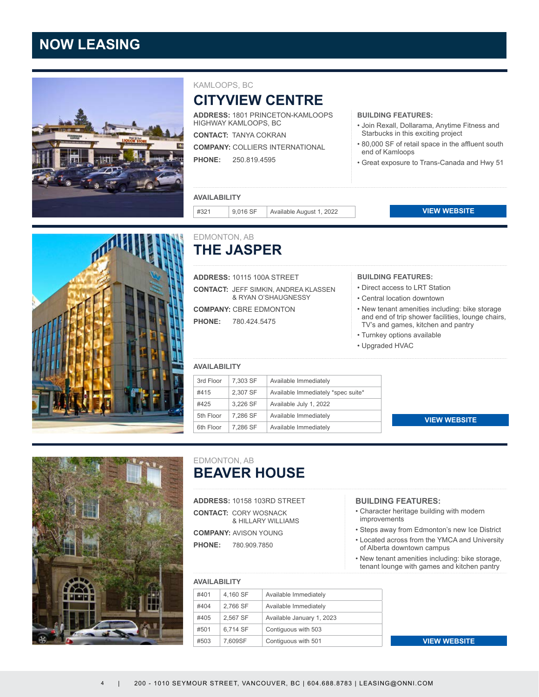## **NOW LEASING**



### KAMLOOPS, BC

## **CITYVIEW CENTRE**

**ADDRESS:** 1801 PRINCETON-KAMLOOPS HIGHWAY KAMLOOPS, BC

**CONTACT:** TANYA COKRAN

**COMPANY:** COLLIERS [IN](https://www.onni.com/property/commercial/cityview-shopping-centre/)TERNATIONAL

**PHONE:** 250.819.4595

- **BUILDING FEATURES:**
- Join Rexall, Dollarama, Anytime Fitness and Starbucks in this exciting project
- 80,000 SF of retail space in the affluent south end of Kamloops
- Great exposure to Trans-Canada and Hwy 51

### **AVAILABILITY**

#321 9,016 SF Available August 1, 2022

**VIEW WEBSITE** 



### **THE JASPER** EDMONTON, AB

**ADDRESS:** 10115 100A STREET

**CONTACT:** JEFF SIMKIN, ANDREA KLASSEN & RYAN O'SHAUGNESSY

**COMPANY:** CBRE EDMONTON

**PHONE:** 780.424.5475

#### **AVAILABILITY**

| 3rd Floor | 7.303 SF | Available Immediately              |
|-----------|----------|------------------------------------|
| #415      | 2.307 SF | Available Immediately *spec suite* |
| #425      | 3.226 SF | Available July 1, 2022             |
| 5th Floor | 7.286 SF | Available Immediately              |
| 6th Floor | 7.286 SF | Available Immediately              |

### **BUILDING FEATURES:** • Direct access to LRT Station

- Central location downtown
- New tenant amenities including: bike storage and end of trip shower facilities, lounge chairs, TV's and games, kitchen and pantry **ES:**<br> **ES:**<br> **[VIEW WEBSITE](https://www.onni.com/property/commercial/the-beaver-house/)**<br> **VIEW WEBSITE**<br> **VIEW WEBSITE<br>
VIEW WEBSITE<br>
VIEW WEBSITE<br>
VIEW WEBSITE<br>
NES:<br>
WEBSITE<br>
SINCA and l<br>
Campus<br>
SINCA and l<br>
Campus<br>
SINCA and l<br>
VIEW WEBSITE<br>
VIEW WEBSITE**
- Turnkey options available
- Upgraded HVAC

### **[VIEW WEBSITE](https://www.onni.com/property/commercial/10115-100a-street/)**



### **BEAVER HOUSE** EDMONTON, AB

**ADDRESS:** 10158 103RD STREET **CONTACT:** CORY WOSNACK & HILLARY WILLIAMS **COMPANY:** AVISON YOUNG **PHONE:** 780.909.7850

### **AVAILABILITY**

| #401 | 4,160 SF | Available Immediately     |
|------|----------|---------------------------|
| #404 | 2.766 SF | Available Immediately     |
| #405 | 2.567 SF | Available January 1, 2023 |
| #501 | 6.714 SF | Contiguous with 503       |
| #503 | 7.609SF  | Contiguous with 501       |

#### **BUILDING FEATURES:**

- Character heritage building with modern improvements
- Steps away from Edmonton's new Ice District
- Located across from the YMCA and University of Alberta downtown campus
- New tenant amenities including: bike storage, tenant lounge with games and kitchen pantry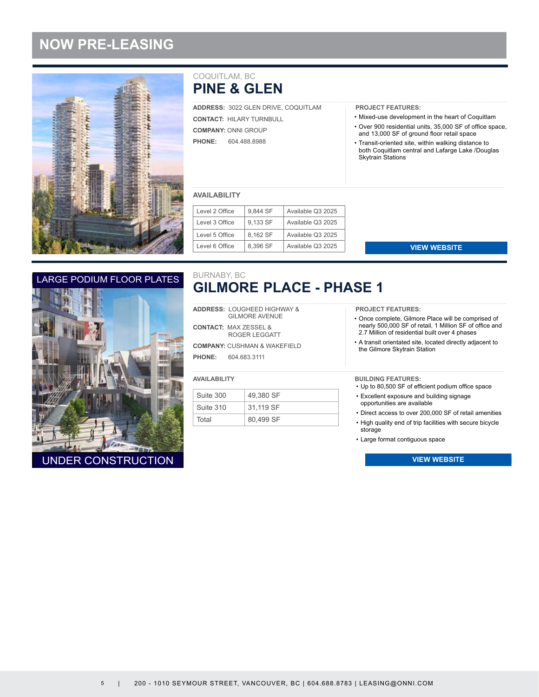## **NOW PRE-LEASING**



### **PINE & GLEN** COQUITLAM, BC

**ADDRESS:** 3022 GLEN DRIVE, COQUITLAM **CONTACT:** HILARY TURNBULL **COMPANY:** ONNI GROUP **PHONE:** 604.488.8988

### **PROJECT FEATURES:**

- Mixed-use development in the heart of Coquitlam
- Over 900 residential units, 35,000 SF of office space, and 13,000 SF of ground floor retail space
- Transit-oriented site, within walking distance to both Coquitlam central and Lafarge Lake /Douglas Skytrain Stations

### **AVAILABILITY**

| Level 2 Office | 9,844 SF | Available Q3 2025 |
|----------------|----------|-------------------|
| Level 3 Office | 9.133 SF | Available Q3 2025 |
| Level 5 Office | 8.162 SF | Available Q3 2025 |
| Level 6 Office | 8.396 SF | Available Q3 2025 |

### LARGE PODIUM FLOOR PLATES



### **GILMORE PLACE - PHASE 1** BURNABY, BC

**ADDRESS:** LOUGHEED HIGHWAY & GILMORE AVENUE

**CONTACT:** MAX ZESSEL & ROGER LEGGATT

**COMPANY:** CUSHMAN & WAKEFIELD **PHONE:** 604.683.3111

#### **AVAILABILITY**

| Suite 300 | 49.380 SF |
|-----------|-----------|
| Suite 310 | 31.119 SF |
| Total     | 80,499 SF |

**PROJECT FEATURES:**

- Once complete, Gilmore Place will be comprised of nearly 500,000 SF of retail, 1 Million SF of office and 2.7 Million of residential built over 4 phases **[VIEW WEBSITE](https://www.onni.com/property/commercial/gilmore-place-retail/)**<br>
Impore Place will be<br>
in the call of retail, 1 Million Sf<br>
site, located directly<br>
in Station<br>
IES:<br>
Ferficient podium of<br>
Para and building signa<br>
wailable<br>
ver 200,000 SF of re<br>
f trip facilities with se<br>
- A transit orientated site, located directly adjacent to the Gilmore Skytrain Station

#### **BUILDING FEATURES:**

- Up to 80,500 SF of efficient podium office space
- Excellent exposure and building signage opportunities are available
- Direct access to over 200,000 SF of retail amenities
- High quality end of trip facilities with secure bicycle storage
- Large format contiguous space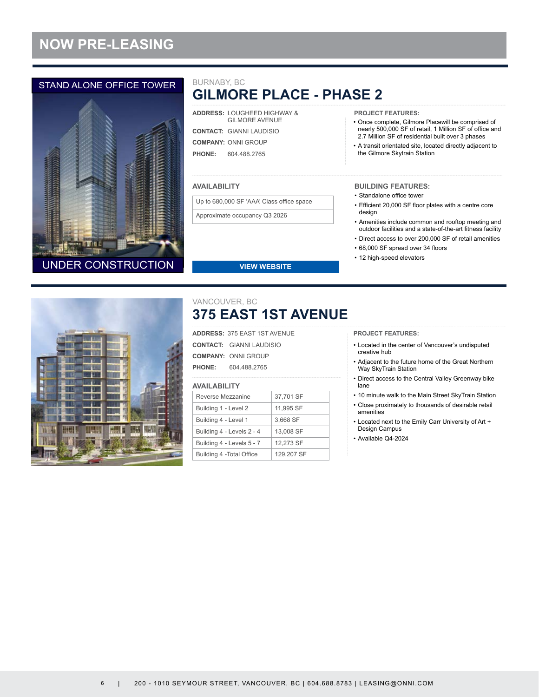## **NOW PRE-LEASING**

### STAND ALONE OFFICE TOWER



### **GILMORE PLACE - PHASE 2** BURNABY, BC

| <b>ADDRESS: LOUGHEED HIGHWAY &amp;</b><br><b>GILMORE AVENUE</b> |
|-----------------------------------------------------------------|
| <b>CONTACT: GIANNI LAUDISIO</b>                                 |
| <b>COMPANY: ONNI GROUP</b>                                      |
| <b>PHONE:</b> 604,488,2765                                      |

### **AVAILABILITY**

Up to 680,000 SF 'AAA' Class office space

Approximate occupancy Q3 2026

**PROJECT FEATURES:**

- Once complete, Gilmore Placewill be comprised of nearly 500,000 SF of retail, 1 Million SF of office and 2.7 Million SF of residential built over 3 phases
- A transit orientated site, located directly adjacent to the Gilmore Skytrain Station

### **BUILDING FEATURES:**

- Standalone office tower
- Efficient 20,000 SF floor plates with a centre core design
- Amenities include common and rooftop meeting and outdoor facilities and a state-of-the-art fitness facility
- Direct access to over 200,000 SF of retail amenities
- 68,000 SF spread over 34 floors
- 12 high-speed elevators



**375 EAST 1ST AVENUE** VANCOUVER, BC

**[VIEW WEBSITE](https://www.onni.com/property/commercial/gilmore-place-retail/)**

**ADDRESS:** 375 EAST 1ST AVENUE **CONTACT:** GIANNI LAUDISIO **COMPANY:** ONNI GROUP **PHONE:** 604.488.2765

### **AVAILABILITY**

| Reverse Mezzanine         | 37,701 SF  |
|---------------------------|------------|
| Building 1 - Level 2      | 11,995 SF  |
| Building 4 - Level 1      | 3.668 SF   |
| Building 4 - Levels 2 - 4 | 13,008 SF  |
| Building 4 - Levels 5 - 7 | 12.273 SF  |
| Building 4 - Total Office | 129,207 SF |

**PROJECT FEATURES:**

- Located in the center of Vancouver's undisputed creative hub
- Adjacent to the future home of the Great Northern Way SkyTrain Station
- Direct access to the Central Valley Greenway bike lane
- 10 minute walk to the Main Street SkyTrain Station
- Close proximately to thousands of desirable retail amenities
- Located next to the Emily Carr University of Art + Design Campus
- Available Q4-2024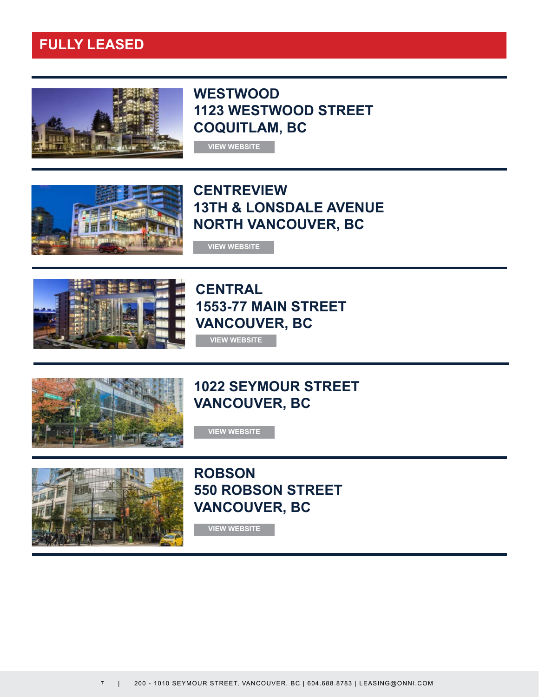## **FULLY LEASED**



**WESTWOOD 1123 WESTWOOD STREET COQUITLAM, BC**



**CENTREVIEW 13TH & LONSDALE AVENUE NORTH VANCOUVER, BC**



**CENTRAL 1553-77 MAIN STREET VANCOUVER, BC [VIEW WEBSITE](https://www.onni.com/property/commercial/centreview-office-retail/)<br>FINTREV<br>JTH & LC<br>DRTH VA<br>VIEW WEBSITE<br>553-77 M<br>ANCOUV<br>VIEW WEBSITE** 



## **1022 SEYMOUR STREET VANCOUVER, BC**

**[VIEW WEBSITE](https://www.onni.com/property/commercial/1022-seymour/)**



**ROBSON 550 ROBSON STREET VANCOUVER, BC**